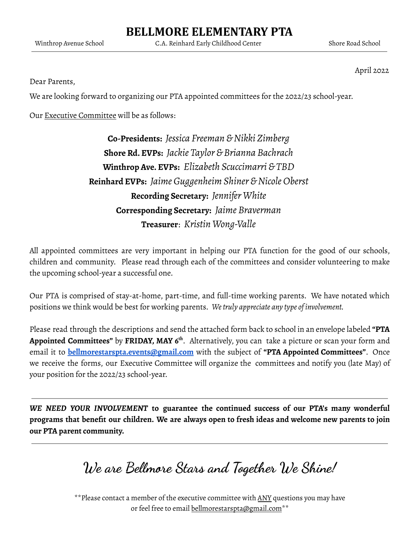# **BELLMORE ELEMENTARY PTA**

Winthrop Avenue School C.A. Reinhard Early Childhood Center Shore Road School

April 2022

Dear Parents,

We are looking forward to organizing our PTA appointed committees for the 2022/23 school-year.

Our Executive Committee will be as follows:

**Co-Presidents:** *Jessica Freeman &Nikki Zimberg* **Shore Rd. EVPs:** *Jackie Taylor & Brianna Bachrach* **Winthrop Ave. EVPs:** *Elizabeth Scuccimarri & TBD* **Reinhard EVPs:** *Jaime Guggenheim Shiner &Nicole Oberst* **Recording Secretary:** *Jennifer White* **Corresponding Secretary:** *Jaime Braverman* **Treasurer**: *Kristin Wong-Valle*

All appointed committees are very important in helping our PTA function for the good of our schools, children and community. Please read through each of the committees and consider volunteering to make the upcoming school-year a successful one.

Our PTA is comprised of stay-at-home, part-time, and full-time working parents. We have notated which positions we think would be best for working parents. *Wetruly appreciate any type of involvement.*

Please read through the descriptions and send the attached form back to school in an envelope labeled **"PTA Appointed Committees"** by **FRIDAY, MAY 6 th** . Alternatively, you can take a picture or scan your form and email it to **[bellmorestarspta.events@gmail.com](mailto:bellmorestarspta.events@gmail.com)** with the subject of **"PTA Appointed Committees"**. Once we receive the forms, our Executive Committee will organize the committees and notify you (late May) of your position for the 2022/23 school-year.

*WE NEED YOUR INVOLVEMENT* **to guarantee the continued success of our PTA's many wonderful** programs that benefit our children. We are always open to fresh ideas and welcome new parents to join **our PTA parent community.**

**We are Bellmore Stars and Together We Shine!**

\*\*Please contact a member of the executive committee with ANY questions you may have or feel free to email bellmorestarspta@gmail.com\*\*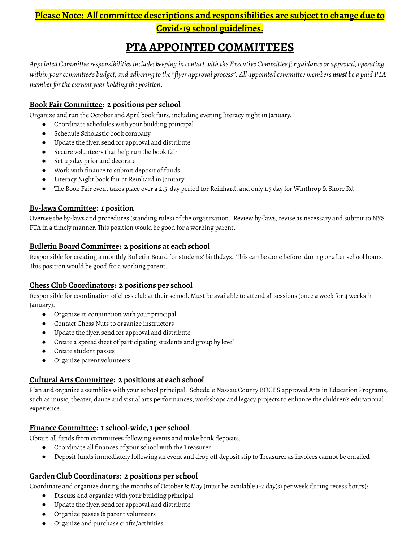# **Please Note: All committee descriptions and responsibilities are subject to change due to Covid-19 school guidelines.**

# **PTA APPOINTED COMMITTEES**

*Appointed Committeeresponsibilitiesinclude: keeping in contact with the Executive Committeefor guidance or approval, operating* within your committee's budget, and adhering to the "flyer approval process". All appointed committee members must be a paid PTA *memberforthecurrent year holding the position.*

### **Book Fair Committee: 2 positions per school**

Organize and run the October and April book fairs, including evening literacy night in January.

- Coordinate schedules with your building principal
- Schedule Scholastic book company
- Update the flyer, send for approval and distribute
- Secure volunteers that help run the book fair
- Set up day prior and decorate
- Work with finance to submit deposit of funds
- Literacy Night book fair at Reinhard in January
- The Book Fair event takes place over a 2.5-day period for Reinhard, and only 1.5 day for Winthrop & Shore Rd

# **By-laws Committee: 1 position**

Oversee the by-laws and procedures (standing rules) of the organization. Review by-laws, revise as necessary and submit to NYS PTA in a timely manner. This position would be good for a working parent.

# **Bulletin Board Committee: 2 positions at each school**

Responsible for creating a monthly Bulletin Board for students' birthdays. This can be done before, during or after school hours. This position would be good for a working parent.

# **Chess Club Coordinators: 2 positions per school**

Responsible for coordination of chess club at their school. Must be available to attend all sessions (once a week for 4 weeks in January).

- Organize in conjunction with your principal
- Contact Chess Nuts to organize instructors
- Update the flyer, send for approval and distribute
- Create a spreadsheet of participating students and group by level
- Create student passes
- Organize parent volunteers

#### **Cultural Arts Committee: 2 positions at each school**

Plan and organize assemblies with your school principal. Schedule Nassau County BOCES approved Arts in Education Programs, such as music, theater, dance and visual arts performances, workshops and legacy projects to enhance the children's educational experience.

#### **Finance Committee: 1 school-wide,1 per school**

Obtain all funds from committees following events and make bank deposits.

- Coordinate all finances of your school with the Treasurer
- Deposit funds immediately following an event and drop off deposit slip to Treasurer as invoices cannot be emailed

# **Garden Club Coordinators: 2 positions per school**

Coordinate and organize during the months of October & May (must be available 1-2 day(s) per week during recess hours):

- Discuss and organize with your building principal
- Update the flyer, send for approval and distribute
- Organize passes & parent volunteers
- Organize and purchase crafts/activities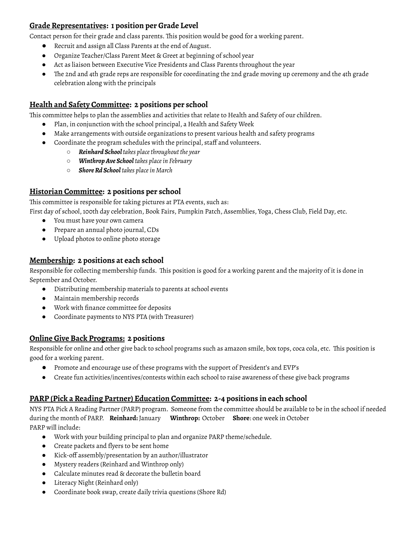# **Grade Representatives: 1 position per Grade Level**

Contact person for their grade and class parents. This position would be good for a working parent.

- Recruit and assign all Class Parents at the end of August.
- Organize Teacher/Class Parent Meet & Greet at beginning of school year
- Act as liaison between Executive Vice Presidents and Class Parents throughout the year
- The 2nd and 4th grade reps are responsible for coordinating the 2nd grade moving up ceremony and the 4th grade celebration along with the principals

#### **Health and Safety Committee: 2 positions per school**

This committee helps to plan the assemblies and activities that relate to Health and Safety of our children.

- Plan, in conjunction with the school principal, a Health and Safety Week
- Make arrangements with outside organizations to present various health and safety programs
- Coordinate the program schedules with the principal, staff and volunteers.
	- *○ Reinhard School takes placethroughout the year*
	- *○ WinthropAve School takes placein February*
	- *○ ShoreRd School takes placein March*

#### **Historian Committee: 2 positions per school**

This committee is responsible for taking pictures at PTA events, such as:

First day of school, 100th day celebration, Book Fairs, Pumpkin Patch, Assemblies, Yoga, Chess Club, Field Day, etc.

- You must have your own camera
- Prepare an annual photo journal, CDs
- Upload photos to online photo storage

#### **Membership: 2 positions at each school**

Responsible for collecting membership funds. This position is good for a working parent and the majority of it is done in September and October.

- Distributing membership materials to parents at school events
- Maintain membership records
- Work with finance committee for deposits
- Coordinate payments to NYS PTA (with Treasurer)

#### **Online Give Back Programs: 2 positions**

Responsible for online and other give back to school programs such as amazon smile, box tops, coca cola, etc. This position is good for a working parent.

- Promote and encourage use of these programs with the support of President's and EVP's
- Create fun activities/incentives/contests within each school to raise awareness of these give back programs

#### **PARP (Pick a Reading Partner) Education Committee: 2-4 positions in each school**

NYS PTA Pick A Reading Partner (PARP) program. Someone from the committee should be available to be in the school if needed during the month of PARP. **Reinhard:** January **Winthrop:** October **Shore**: one week in October PARP will include:

- Work with your building principal to plan and organize PARP theme/schedule.
- Create packets and flyers to be sent home
- Kick-off assembly/presentation by an author/illustrator
- Mystery readers (Reinhard and Winthrop only)
- Calculate minutes read & decorate the bulletin board
- Literacy Night (Reinhard only)
- Coordinate book swap, create daily trivia questions (Shore Rd)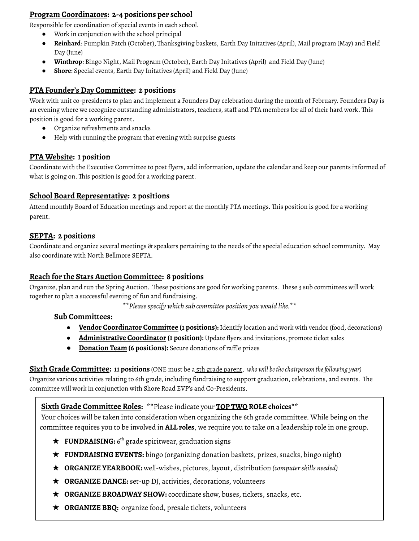# **Program Coordinators: 2-4 positions per school**

Responsible for coordination of special events in each school.

- Work in conjunction with the school principal
- **Reinhard**: Pumpkin Patch (October), Thanksgiving baskets, Earth Day Initatives (April), Mail program (May) and Field Day (June)
- **Winthrop**: Bingo Night, Mail Program (October), Earth Day Initatives (April) and Field Day (June)
- **Shore**: Special events, Earth Day Initatives (April) and Field Day (June)

# **PTA Founder's Day Committee: 2 positions**

Work with unit co-presidents to plan and implement a Founders Day celebration during the month of February. Founders Day is an evening where we recognize outstanding administrators, teachers, staff and PTA members for all of their hard work. This position is good for a working parent.

- Organize refreshments and snacks
- Help with running the program that evening with surprise guests

# **PTA Website: 1 position**

Coordinate with the Executive Committee to post flyers, add information, update the calendar and keep our parents informed of what is going on. This position is good for a working parent.

#### **School Board Representative: 2 positions**

Attend monthly Board of Education meetings and report at the monthly PTA meetings. This position is good for a working parent.

#### **SEPTA: 2 positions**

Coordinate and organize several meetings & speakers pertaining to the needs of the special education school community. May also coordinate with North Bellmore SEPTA.

#### **Reach for the Stars Auction Committee: 8 positions**

Organize, plan and run the Spring Auction. These positions are good for working parents. These 3 sub committees will work together to plan a successful evening of fun and fundraising.

*\*\*Pleasespecify which sub committee position you would like.\*\**

#### **Sub Committees:**

- **Vendor Coordinator Committee (1 positions):** Identify location and work with vendor (food, decorations)
- **Administrative Coordinator (1 position):** Update flyers and invitations, promote ticket sales
- **Donation Team (6 positions):** Secure donations of raffle prizes

**Sixth Grade Committee: 11 positions** (ONE must be a 5th grade parent, *who will bethechairperson thefollowing year)*

Organize various activities relating to 6th grade, including fundraising to support graduation, celebrations, and events. The committee will work in conjunction with Shore Road EVP's and Co-Presidents.

# **Sixth Grade Committee Roles:** \*\*Please indicate your **TOP TWO ROLE choices**\*\*

Your choices will be taken into consideration when organizing the 6th grade committee. While being on the committee requires you to be involved in **ALL roles**, we require you to take on a leadership role in one group.

- **★ FUNDRAISING:** 6<sup>th</sup> grade spiritwear, graduation signs
- ★ **FUNDRAISING EVENTS:** bingo (organizing donation baskets, prizes, snacks, bingo night)
- ★ **ORGANIZE YEARBOOK:** well-wishes, pictures, layout, distribution *(computerskills needed)*
- **★ ORGANIZE DANCE:** set-up DJ, activities, decorations, volunteers
- ★ **ORGANIZE BROADWAY SHOW:** coordinate show, buses, tickets, snacks, etc.
- ★ **ORGANIZE BBQ:** organize food, presale tickets, volunteers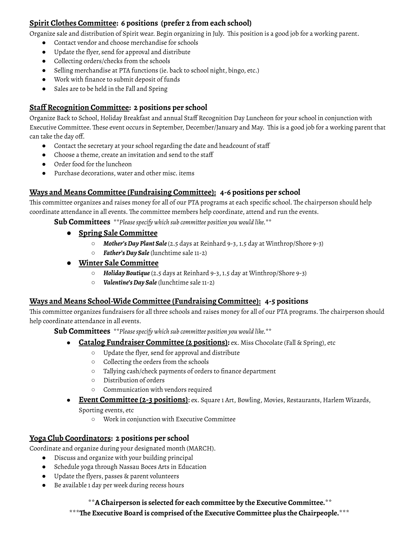# **Spirit Clothes Committee: 6 positions (prefer 2 from each school)**

Organize sale and distribution of Spirit wear. Begin organizing in July. This position is a good job for a working parent.

- Contact vendor and choose merchandise for schools
- Update the flyer, send for approval and distribute
- Collecting orders/checks from the schools
- Selling merchandise at PTA functions (ie. back to school night, bingo, etc.)
- Work with finance to submit deposit of funds
- Sales are to be held in the Fall and Spring

# **Staff Recognition Committee: 2 positions per school**

Organize Back to School, Holiday Breakfast and annual Staff Recognition Day Luncheon for your school in conjunction with Executive Committee. These event occurs in September, December/January and May. This is a good job for a working parent that can take the day off.

- Contact the secretary at your school regarding the date and headcount of staff
- Choose a theme, create an invitation and send to the staff
- Order food for the luncheon
- Purchase decorations, water and other misc. items

# **Ways and Means Committee (Fundraising Committee): 4-6 positions per school**

This committee organizes and raises money for all of our PTA programs at each specific school. The chairperson should help coordinate attendance in all events. The committee members help coordinate, attend and run the events.

**Sub Committees** *\*\*Pleasespecify which sub committee position you would like.\*\**

- **Spring Sale Committee**
	- *Mother'sDay Plant Sale*(2.5 days at Reinhard 9-3, 1.5 day at Winthrop/Shore 9-3)
	- *Father'sDay Sale* (lunchtime sale 11-2)
- **Winter Sale Committee**
	- *HolidayBoutique* (2.5 days at Reinhard 9-3, 1.5 day at Winthrop/Shore 9-3)
	- *Valentine'sDay Sale* (lunchtime sale 11-2)

#### **Ways and Means School-Wide Committee (Fundraising Committee): 4-5 positions**

This committee organizes fundraisers for all three schools and raises money for all of our PTA programs. The chairperson should help coordinate attendance in all events.

**Sub Committees** *\*\*Pleasespecify which sub committee position you would like.\*\**

- **Catalog Fundraiser Committee (2 positions):** ex. Miss Chocolate (Fall & Spring), etc
	- Update the flyer, send for approval and distribute
	- Collecting the orders from the schools
	- Tallying cash/check payments of orders to finance department
	- Distribution of orders
	- Communication with vendors required
- **Event Committee (2-3 positions)**: ex. Square 1 Art, Bowling, Movies, Restaurants, Harlem Wizards, Sporting events, etc
	- Work in conjunction with Executive Committee

# **Yoga Club Coordinators: 2 positions per school**

Coordinate and organize during your designated month (MARCH).

- Discuss and organize with your building principal
- Schedule yoga through Nassau Boces Arts in Education
- Update the flyers, passes & parent volunteers
- Be available 1 day per week during recess hours

\*\***A Chairperson is selected for each committee by the Executive Committee.**\*\*

\*\*\***The Executive Board is comprised of the Executive Committee plus the Chairpeople.**\*\*\*